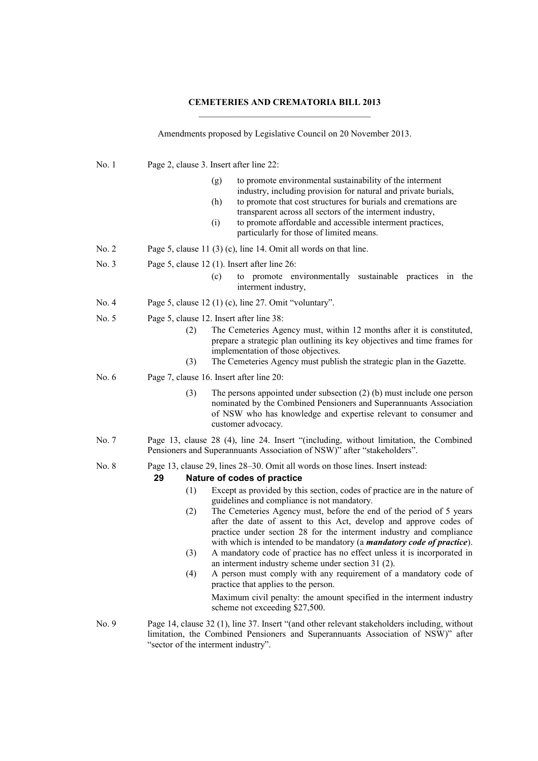## **CEMETERIES AND CREMATORIA BILL 2013**

Amendments proposed by Legislative Council on 20 November 2013.

| No.1    | Page 2, clause 3. Insert after line 22:                                                                                                                                                                                                                                                                                                                                                                                                                                                                                                                                                                                                                                                                                                                                                                                                                                                                                                     |
|---------|---------------------------------------------------------------------------------------------------------------------------------------------------------------------------------------------------------------------------------------------------------------------------------------------------------------------------------------------------------------------------------------------------------------------------------------------------------------------------------------------------------------------------------------------------------------------------------------------------------------------------------------------------------------------------------------------------------------------------------------------------------------------------------------------------------------------------------------------------------------------------------------------------------------------------------------------|
|         | to promote environmental sustainability of the interment<br>(g)<br>industry, including provision for natural and private burials,<br>to promote that cost structures for burials and cremations are<br>(h)<br>transparent across all sectors of the interment industry,<br>to promote affordable and accessible interment practices,<br>(i)<br>particularly for those of limited means.                                                                                                                                                                                                                                                                                                                                                                                                                                                                                                                                                     |
| No. 2   | Page 5, clause 11 (3) (c), line 14. Omit all words on that line.                                                                                                                                                                                                                                                                                                                                                                                                                                                                                                                                                                                                                                                                                                                                                                                                                                                                            |
| No. 3   | Page 5, clause $12$ (1). Insert after line $26$ :<br>to promote environmentally sustainable practices in the<br>(c)<br>interment industry,                                                                                                                                                                                                                                                                                                                                                                                                                                                                                                                                                                                                                                                                                                                                                                                                  |
| No. 4   | Page 5, clause $12(1)(c)$ , line 27. Omit "voluntary".                                                                                                                                                                                                                                                                                                                                                                                                                                                                                                                                                                                                                                                                                                                                                                                                                                                                                      |
| No. 5   | Page 5, clause 12. Insert after line 38:<br>The Cemeteries Agency must, within 12 months after it is constituted,<br>(2)<br>prepare a strategic plan outlining its key objectives and time frames for<br>implementation of those objectives.<br>The Cemeteries Agency must publish the strategic plan in the Gazette.<br>(3)                                                                                                                                                                                                                                                                                                                                                                                                                                                                                                                                                                                                                |
| No. $6$ | Page 7, clause 16. Insert after line 20:                                                                                                                                                                                                                                                                                                                                                                                                                                                                                                                                                                                                                                                                                                                                                                                                                                                                                                    |
|         | (3)<br>The persons appointed under subsection $(2)$ (b) must include one person<br>nominated by the Combined Pensioners and Superannuants Association<br>of NSW who has knowledge and expertise relevant to consumer and<br>customer advocacy.                                                                                                                                                                                                                                                                                                                                                                                                                                                                                                                                                                                                                                                                                              |
| No. 7   | Page 13, clause 28 (4), line 24. Insert "(including, without limitation, the Combined<br>Pensioners and Superannuants Association of NSW)" after "stakeholders".                                                                                                                                                                                                                                                                                                                                                                                                                                                                                                                                                                                                                                                                                                                                                                            |
| No. 8   | Page 13, clause 29, lines 28–30. Omit all words on those lines. Insert instead:<br>29<br>Nature of codes of practice<br>Except as provided by this section, codes of practice are in the nature of<br>(1)<br>guidelines and compliance is not mandatory.<br>The Cemeteries Agency must, before the end of the period of 5 years<br>(2)<br>after the date of assent to this Act, develop and approve codes of<br>practice under section 28 for the interment industry and compliance<br>with which is intended to be mandatory (a <i>mandatory code of practice</i> ).<br>A mandatory code of practice has no effect unless it is incorporated in<br>(3)<br>an interment industry scheme under section 31 (2).<br>A person must comply with any requirement of a mandatory code of<br>(4)<br>practice that applies to the person.<br>Maximum civil penalty: the amount specified in the interment industry<br>scheme not exceeding \$27,500. |
| No. 9   | Page 14, clause 32 (1), line 37. Insert "(and other relevant stakeholders including, without<br>limitation, the Combined Pensioners and Superannuants Association of NSW)" after<br>"sector of the interment industry".                                                                                                                                                                                                                                                                                                                                                                                                                                                                                                                                                                                                                                                                                                                     |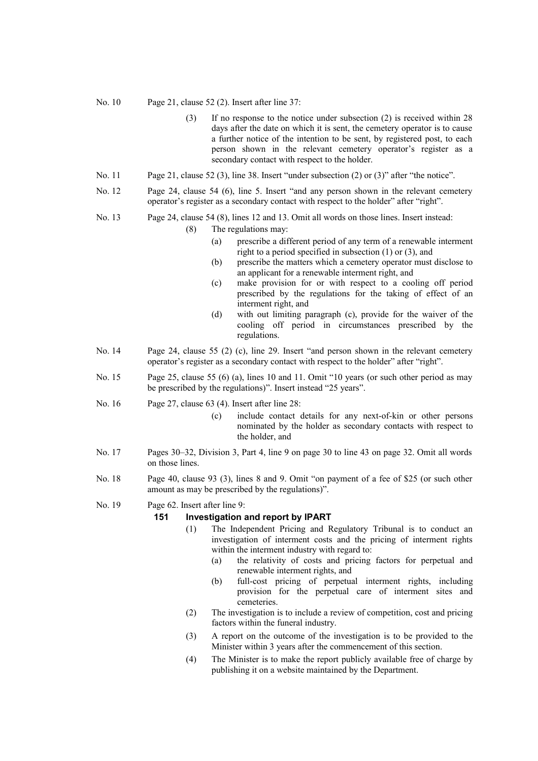No. 10 Page 21, clause 52 (2). Insert after line 37:

- (3) If no response to the notice under subsection (2) is received within 28 days after the date on which it is sent, the cemetery operator is to cause a further notice of the intention to be sent, by registered post, to each person shown in the relevant cemetery operator's register as a secondary contact with respect to the holder.
- No. 11 Page 21, clause 52 (3), line 38. Insert "under subsection (2) or (3)" after "the notice".
- No. 12 Page 24, clause 54 (6), line 5. Insert "and any person shown in the relevant cemetery operator's register as a secondary contact with respect to the holder" after "right".
- No. 13 Page 24, clause 54 (8), lines 12 and 13. Omit all words on those lines. Insert instead:
	- (8) The regulations may:
		- (a) prescribe a different period of any term of a renewable interment right to a period specified in subsection (1) or (3), and
		- (b) prescribe the matters which a cemetery operator must disclose to an applicant for a renewable interment right, and
		- (c) make provision for or with respect to a cooling off period prescribed by the regulations for the taking of effect of an interment right, and
		- (d) with out limiting paragraph (c), provide for the waiver of the cooling off period in circumstances prescribed by the regulations.
- No. 14 Page 24, clause 55 (2) (c), line 29. Insert "and person shown in the relevant cemetery operator's register as a secondary contact with respect to the holder" after "right".
- No. 15 Page 25, clause 55 (6) (a), lines 10 and 11. Omit "10 years (or such other period as may be prescribed by the regulations)". Insert instead "25 years".
- No. 16 Page 27, clause 63 (4). Insert after line 28:
	- (c) include contact details for any next-of-kin or other persons nominated by the holder as secondary contacts with respect to the holder, and
- No. 17 Pages 30–32, Division 3, Part 4, line 9 on page 30 to line 43 on page 32. Omit all words on those lines.
- No. 18 Page 40, clause 93 (3), lines 8 and 9. Omit "on payment of a fee of \$25 (or such other amount as may be prescribed by the regulations)".
- No. 19 Page 62. Insert after line 9:

## **151 Investigation and report by IPART**

- (1) The Independent Pricing and Regulatory Tribunal is to conduct an investigation of interment costs and the pricing of interment rights within the interment industry with regard to:
	- (a) the relativity of costs and pricing factors for perpetual and renewable interment rights, and
	- (b) full-cost pricing of perpetual interment rights, including provision for the perpetual care of interment sites and cemeteries.
- (2) The investigation is to include a review of competition, cost and pricing factors within the funeral industry.
- (3) A report on the outcome of the investigation is to be provided to the Minister within 3 years after the commencement of this section.
- (4) The Minister is to make the report publicly available free of charge by publishing it on a website maintained by the Department.